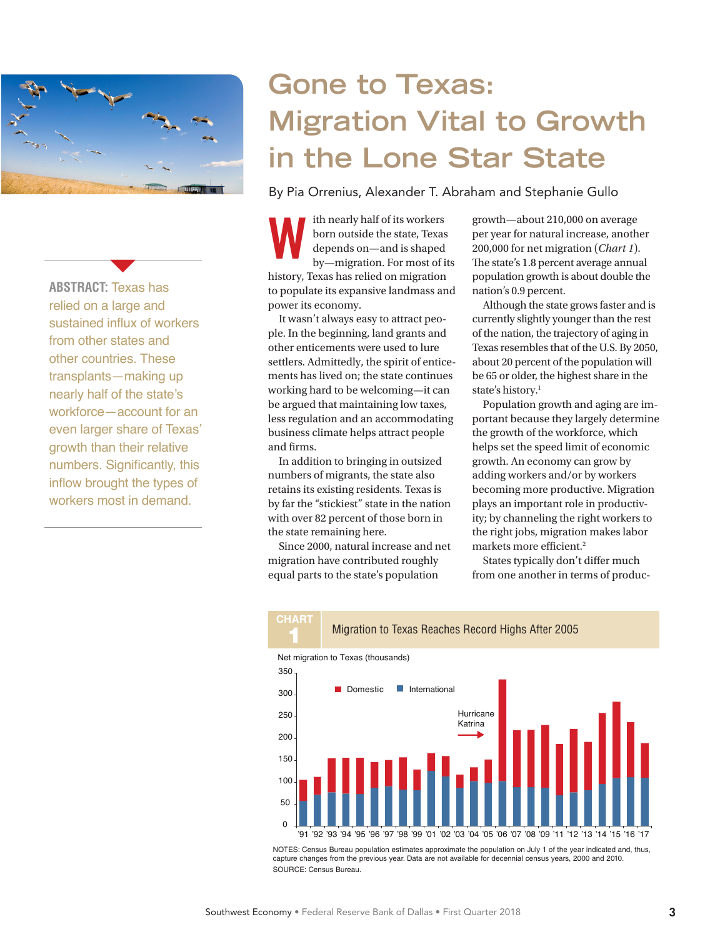

 $\blacktriangledown$ 

**ABSTRACT:** Texas has relied on a large and sustained influx of workers from other states and other countries. These transplants—making up nearly half of the state's workforce—account for an even larger share of Texas' growth than their relative numbers. Significantly, this inflow brought the types of workers most in demand.

# **Gone to Texas: Migration Vital to Growth in the Lone Star State**

By Pia Orrenius, Alexander T. Abraham and Stephanie Gullo

ith nearly half of its workers born outside the state, Texas depends on—and is shaped by—migration. For most of its history, Texas has relied on migration to populate its expansive landmass and power its economy. The meaning in the state, Texas are the state, Texas are the state, Texas are per year for natural increase, anoth depends on—and is shaped by—migration. For most of its The state's 1.8 percent average annual in the state'

It wasn't always easy to attract people. In the beginning, land grants and other enticements were used to lure settlers. Admittedly, the spirit of enticements has lived on; the state continues working hard to be welcoming—it can be argued that maintaining low taxes, less regulation and an accommodating business climate helps attract people and firms.

In addition to bringing in outsized numbers of migrants, the state also retains its existing residents. Texas is by far the "stickiest" state in the nation with over 82 percent of those born in the state remaining here.

Since 2000, natural increase and net migration have contributed roughly equal parts to the state's population

**CHART**

per year for natural increase, another 200,000 for net migration (*Chart 1*). The state's 1.8 percent average annual population growth is about double the nation's 0.9 percent.

Although the state grows faster and is currently slightly younger than the rest of the nation, the trajectory of aging in Texas resembles that of the U.S. By 2050, about 20 percent of the population will be 65 or older, the highest share in the state's history.<sup>1</sup>

Population growth and aging are important because they largely determine the growth of the workforce, which helps set the speed limit of economic growth. An economy can grow by adding workers and/or by workers becoming more productive. Migration plays an important role in productivity; by channeling the right workers to the right jobs, migration makes labor markets more efficient.<sup>2</sup>

States typically don't differ much from one another in terms of produc-



NOTES: Census Bureau population estimates approximate the population on July 1 of the year indicated and, thus, capture changes from the previous year. Data are not available for decennial census years, 2000 and 2010. SOURCE: Census Bureau.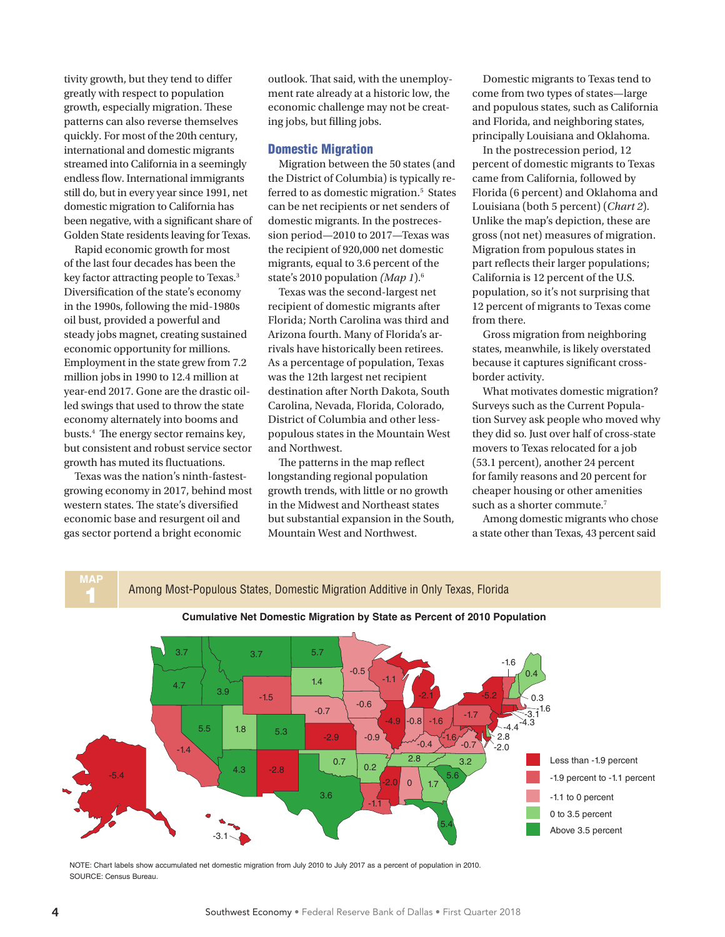tivity growth, but they tend to differ greatly with respect to population growth, especially migration. These patterns can also reverse themselves quickly. For most of the 20th century, international and domestic migrants streamed into California in a seemingly endless flow. International immigrants still do, but in every year since 1991, net domestic migration to California has been negative, with a significant share of Golden State residents leaving for Texas.

Rapid economic growth for most of the last four decades has been the key factor attracting people to Texas.<sup>3</sup> Diversification of the state's economy in the 1990s, following the mid-1980s oil bust, provided a powerful and steady jobs magnet, creating sustained economic opportunity for millions. Employment in the state grew from 7.2 million jobs in 1990 to 12.4 million at year-end 2017. Gone are the drastic oilled swings that used to throw the state economy alternately into booms and busts.4 The energy sector remains key, but consistent and robust service sector growth has muted its fluctuations.

Texas was the nation's ninth-fastestgrowing economy in 2017, behind most western states. The state's diversified economic base and resurgent oil and gas sector portend a bright economic

outlook. That said, with the unemployment rate already at a historic low, the economic challenge may not be creating jobs, but filling jobs.

## Domestic Migration

Migration between the 50 states (and the District of Columbia) is typically referred to as domestic migration.<sup>5</sup> States can be net recipients or net senders of domestic migrants. In the postrecession period—2010 to 2017—Texas was the recipient of 920,000 net domestic migrants, equal to 3.6 percent of the state's 2010 population *(Map 1*).6

Texas was the second-largest net recipient of domestic migrants after Florida; North Carolina was third and Arizona fourth. Many of Florida's arrivals have historically been retirees. As a percentage of population, Texas was the 12th largest net recipient destination after North Dakota, South Carolina, Nevada, Florida, Colorado, District of Columbia and other lesspopulous states in the Mountain West and Northwest.

The patterns in the map reflect longstanding regional population growth trends, with little or no growth in the Midwest and Northeast states but substantial expansion in the South, Mountain West and Northwest.

Domestic migrants to Texas tend to come from two types of states—large and populous states, such as California and Florida, and neighboring states, principally Louisiana and Oklahoma.

In the postrecession period, 12 percent of domestic migrants to Texas came from California, followed by Florida (6 percent) and Oklahoma and Louisiana (both 5 percent) (*Chart 2*). Unlike the map's depiction, these are gross (not net) measures of migration. Migration from populous states in part reflects their larger populations; California is 12 percent of the U.S. population, so it's not surprising that 12 percent of migrants to Texas come from there.

Gross migration from neighboring states, meanwhile, is likely overstated because it captures significant crossborder activity.

What motivates domestic migration? Surveys such as the Current Population Survey ask people who moved why they did so. Just over half of cross-state movers to Texas relocated for a job (53.1 percent), another 24 percent for family reasons and 20 percent for cheaper housing or other amenities such as a shorter commute.<sup>7</sup>

Among domestic migrants who chose a state other than Texas, 43 percent said



NOTE: Chart labels show accumulated net domestic migration from July 2010 to July 2017 as a percent of population in 2010. SOURCE: Census Bureau.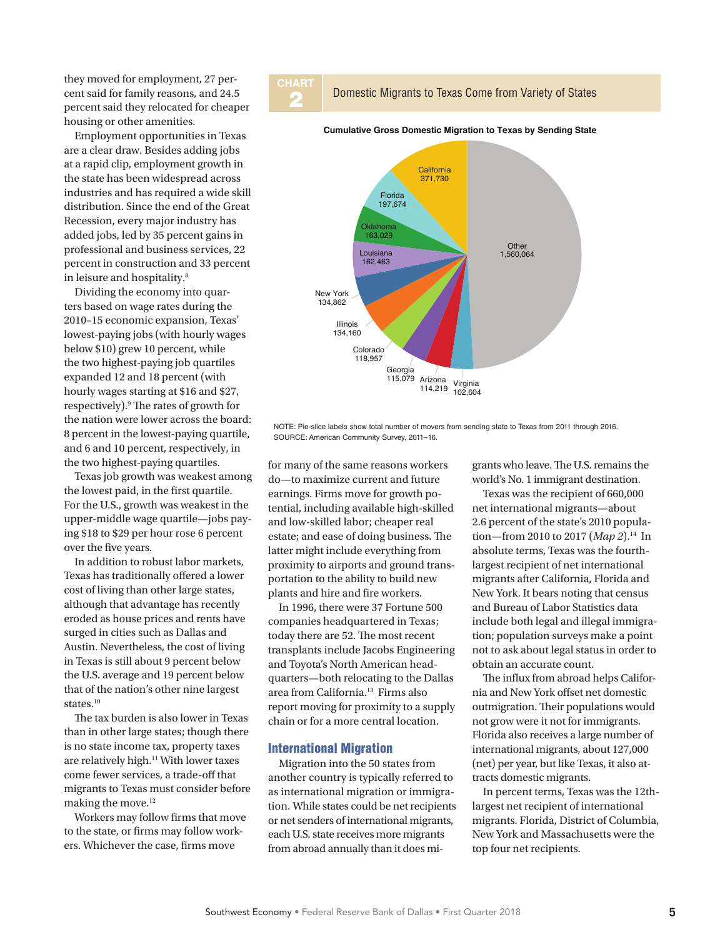they moved for employment, 27 percent said for family reasons, and 24.5 percent said they relocated for cheaper housing or other amenities.

Employment opportunities in Texas are a clear draw. Besides adding jobs at a rapid clip, employment growth in the state has been widespread across industries and has required a wide skill distribution. Since the end of the Great Recession, every major industry has added jobs, led by 35 percent gains in professional and business services, 22 percent in construction and 33 percent in leisure and hospitality.8

Dividing the economy into quarters based on wage rates during the 2010–15 economic expansion, Texas' lowest-paying jobs (with hourly wages below \$10) grew 10 percent, while the two highest-paying job quartiles expanded 12 and 18 percent (with hourly wages starting at \$16 and \$27, respectively).9 The rates of growth for the nation were lower across the board: 8 percent in the lowest-paying quartile, and 6 and 10 percent, respectively, in the two highest-paying quartiles.

Texas job growth was weakest among the lowest paid, in the first quartile. For the U.S., growth was weakest in the upper-middle wage quartile—jobs paying \$18 to \$29 per hour rose 6 percent over the five years.

In addition to robust labor markets, Texas has traditionally offered a lower cost of living than other large states, although that advantage has recently eroded as house prices and rents have surged in cities such as Dallas and Austin. Nevertheless, the cost of living in Texas is still about 9 percent below the U.S. average and 19 percent below that of the nation's other nine largest states.<sup>10</sup>

The tax burden is also lower in Texas than in other large states; though there is no state income tax, property taxes are relatively high.<sup>11</sup> With lower taxes come fewer services, a trade-off that migrants to Texas must consider before making the move.12

Workers may follow firms that move to the state, or firms may follow workers. Whichever the case, firms move



2 Domestic Migrants to Texas Come from Variety of States



#### **Cumulative Gross Domestic Migration to Texas by Sending State**

NOTE: Pie-slice labels show total number of movers from sending state to Texas from 2011 through 2016. SOURCE: American Community Survey, 2011–16.

for many of the same reasons workers do—to maximize current and future earnings. Firms move for growth potential, including available high-skilled and low-skilled labor; cheaper real estate; and ease of doing business. The latter might include everything from proximity to airports and ground transportation to the ability to build new plants and hire and fire workers.

In 1996, there were 37 Fortune 500 companies headquartered in Texas; today there are 52. The most recent transplants include Jacobs Engineering and Toyota's North American headquarters—both relocating to the Dallas area from California.13 Firms also report moving for proximity to a supply chain or for a more central location.

#### International Migration

Migration into the 50 states from another country is typically referred to as international migration or immigration. While states could be net recipients or net senders of international migrants, each U.S. state receives more migrants from abroad annually than it does mi-

grants who leave. The U.S. remains the world's No. 1 immigrant destination.

Texas was the recipient of 660,000 net international migrants—about 2.6 percent of the state's 2010 population—from 2010 to 2017 (*Map 2*).<sup>14</sup> In absolute terms, Texas was the fourthlargest recipient of net international migrants after California, Florida and New York. It bears noting that census and Bureau of Labor Statistics data include both legal and illegal immigration; population surveys make a point not to ask about legal status in order to obtain an accurate count.

The influx from abroad helps California and New York offset net domestic outmigration. Their populations would not grow were it not for immigrants. Florida also receives a large number of international migrants, about 127,000 (net) per year, but like Texas, it also attracts domestic migrants.

In percent terms, Texas was the 12thlargest net recipient of international migrants. Florida, District of Columbia, New York and Massachusetts were the top four net recipients.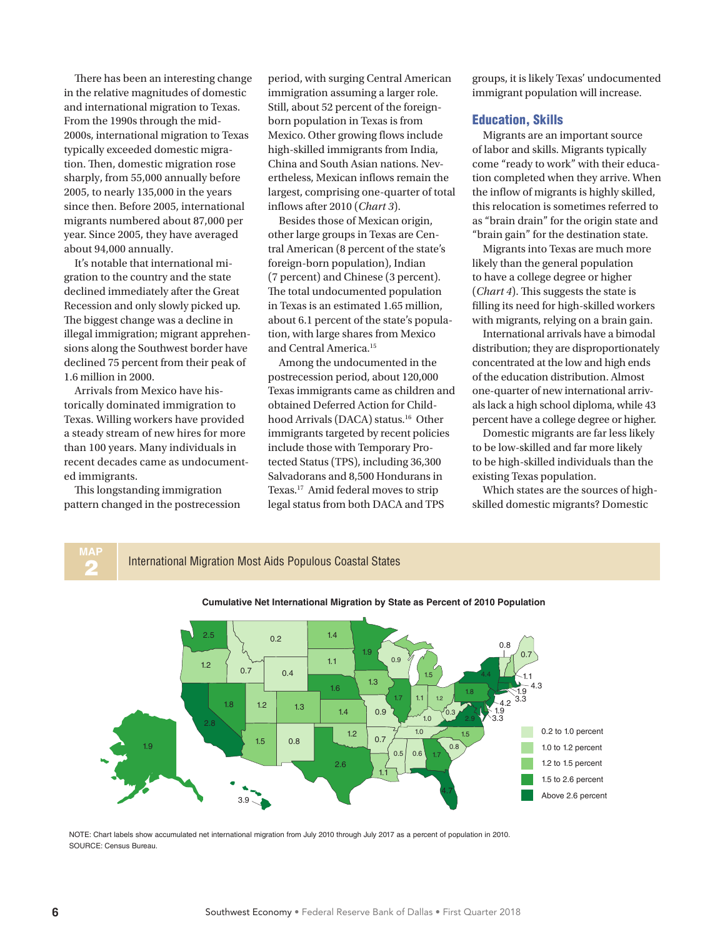There has been an interesting change in the relative magnitudes of domestic and international migration to Texas. From the 1990s through the mid-2000s, international migration to Texas typically exceeded domestic migration. Then, domestic migration rose sharply, from 55,000 annually before 2005, to nearly 135,000 in the years since then. Before 2005, international migrants numbered about 87,000 per year. Since 2005, they have averaged about 94,000 annually.

It's notable that international migration to the country and the state declined immediately after the Great Recession and only slowly picked up. The biggest change was a decline in illegal immigration; migrant apprehensions along the Southwest border have declined 75 percent from their peak of 1.6 million in 2000.

Arrivals from Mexico have historically dominated immigration to Texas. Willing workers have provided a steady stream of new hires for more than 100 years. Many individuals in recent decades came as undocumented immigrants.

This longstanding immigration pattern changed in the postrecession period, with surging Central American immigration assuming a larger role. Still, about 52 percent of the foreignborn population in Texas is from Mexico. Other growing flows include high-skilled immigrants from India, China and South Asian nations. Nevertheless, Mexican inflows remain the largest, comprising one-quarter of total inflows after 2010 (*Chart 3*).

Besides those of Mexican origin, other large groups in Texas are Central American (8 percent of the state's foreign-born population), Indian (7 percent) and Chinese (3 percent). The total undocumented population in Texas is an estimated 1.65 million, about 6.1 percent of the state's population, with large shares from Mexico and Central America.<sup>15</sup>

Among the undocumented in the postrecession period, about 120,000 Texas immigrants came as children and obtained Deferred Action for Childhood Arrivals (DACA) status.<sup>16</sup> Other immigrants targeted by recent policies include those with Temporary Protected Status (TPS), including 36,300 Salvadorans and 8,500 Hondurans in Texas.17 Amid federal moves to strip legal status from both DACA and TPS

groups, it is likely Texas' undocumented immigrant population will increase.

### Education, Skills

Migrants are an important source of labor and skills. Migrants typically come "ready to work" with their education completed when they arrive. When the inflow of migrants is highly skilled, this relocation is sometimes referred to as "brain drain" for the origin state and "brain gain" for the destination state.

Migrants into Texas are much more likely than the general population to have a college degree or higher (*Chart 4*). This suggests the state is filling its need for high-skilled workers with migrants, relying on a brain gain.

International arrivals have a bimodal distribution; they are disproportionately concentrated at the low and high ends of the education distribution. Almost one-quarter of new international arrivals lack a high school diploma, while 43 percent have a college degree or higher.

Domestic migrants are far less likely to be low-skilled and far more likely to be high-skilled individuals than the existing Texas population.

Which states are the sources of highskilled domestic migrants? Domestic



NOTE: Chart labels show accumulated net international migration from July 2010 through July 2017 as a percent of population in 2010. SOURCE: Census Bureau.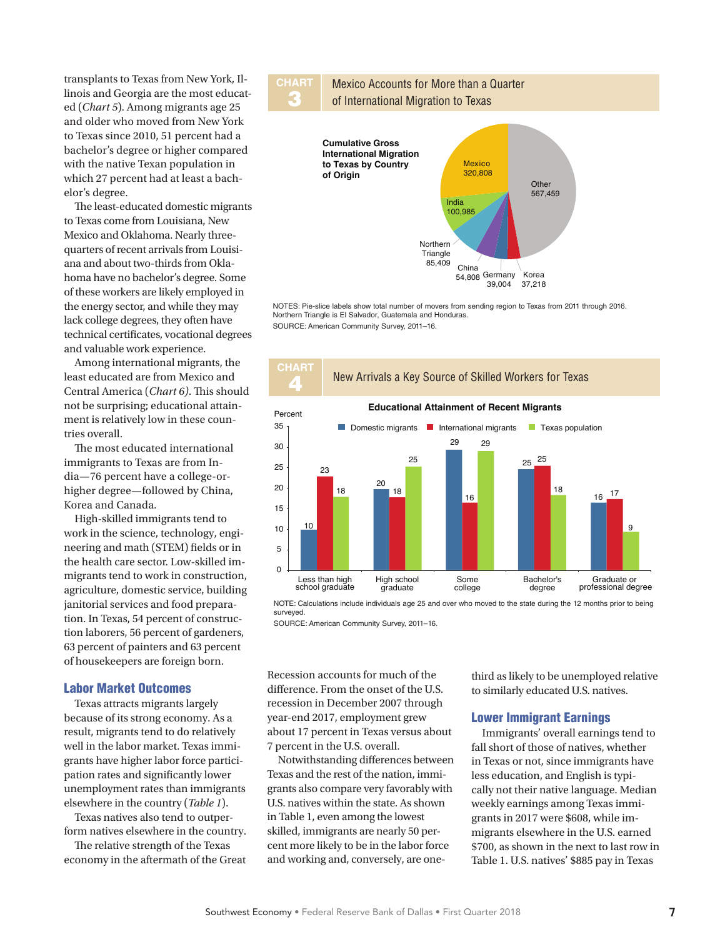transplants to Texas from New York, Illinois and Georgia are the most educated (*Chart 5*). Among migrants age 25 and older who moved from New York to Texas since 2010, 51 percent had a bachelor's degree or higher compared with the native Texan population in which 27 percent had at least a bachelor's degree.

The least-educated domestic migrants to Texas come from Louisiana, New Mexico and Oklahoma. Nearly threequarters of recent arrivals from Louisiana and about two-thirds from Oklahoma have no bachelor's degree. Some of these workers are likely employed in the energy sector, and while they may lack college degrees, they often have technical certificates, vocational degrees and valuable work experience.

Among international migrants, the least educated are from Mexico and Central America (*Chart 6)*. This should not be surprising; educational attainment is relatively low in these countries overall.

The most educated international immigrants to Texas are from India—76 percent have a college-orhigher degree—followed by China, Korea and Canada.

High-skilled immigrants tend to work in the science, technology, engineering and math (STEM) fields or in the health care sector. Low-skilled immigrants tend to work in construction, agriculture, domestic service, building janitorial services and food preparation. In Texas, 54 percent of construction laborers, 56 percent of gardeners, 63 percent of painters and 63 percent of housekeepers are foreign born.

### Labor Market Outcomes

Texas attracts migrants largely because of its strong economy. As a result, migrants tend to do relatively well in the labor market. Texas immigrants have higher labor force participation rates and significantly lower unemployment rates than immigrants elsewhere in the country (*Table 1*).

Texas natives also tend to outperform natives elsewhere in the country.

The relative strength of the Texas economy in the aftermath of the Great





NOTES: Pie-slice labels show total number of movers from sending region to Texas from 2011 through 2016. Northern Triangle is El Salvador, Guatemala and Honduras. SOURCE: American Community Survey, 2011–16.



NOTE: Calculations include individuals age 25 and over who moved to the state during the 12 months prior to being surveyed.

SOURCE: American Community Survey, 2011–16.

Recession accounts for much of the difference. From the onset of the U.S. recession in December 2007 through year-end 2017, employment grew about 17 percent in Texas versus about 7 percent in the U.S. overall.

Notwithstanding differences between Texas and the rest of the nation, immigrants also compare very favorably with U.S. natives within the state. As shown in Table 1, even among the lowest skilled, immigrants are nearly 50 percent more likely to be in the labor force and working and, conversely, are onethird as likely to be unemployed relative to similarly educated U.S. natives.

### Lower Immigrant Earnings

Immigrants' overall earnings tend to fall short of those of natives, whether in Texas or not, since immigrants have less education, and English is typically not their native language. Median weekly earnings among Texas immigrants in 2017 were \$608, while immigrants elsewhere in the U.S. earned \$700, as shown in the next to last row in Table 1. U.S. natives' \$885 pay in Texas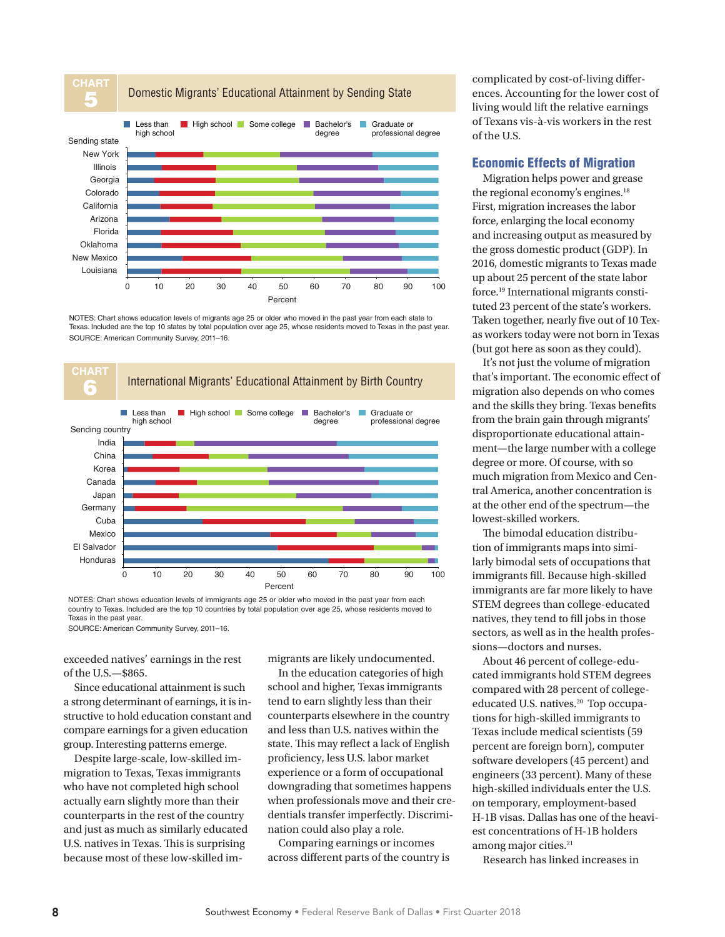

NOTES: Chart shows education levels of migrants age 25 or older who moved in the past year from each state to Texas. Included are the top 10 states by total population over age 25, whose residents moved to Texas in the past year. SOURCE: American Community Survey, 2011–16.



NOTES: Chart shows education levels of immigrants age 25 or older who moved in the past year from each country to Texas. Included are the top 10 countries by total population over age 25, whose residents moved to Texas in the past year.

SOURCE: American Community Survey, 2011–16.

exceeded natives' earnings in the rest of the U.S.—\$865.

Since educational attainment is such a strong determinant of earnings, it is instructive to hold education constant and compare earnings for a given education group. Interesting patterns emerge.

Despite large-scale, low-skilled immigration to Texas, Texas immigrants who have not completed high school actually earn slightly more than their counterparts in the rest of the country and just as much as similarly educated U.S. natives in Texas. This is surprising because most of these low-skilled immigrants are likely undocumented.

In the education categories of high school and higher, Texas immigrants tend to earn slightly less than their counterparts elsewhere in the country and less than U.S. natives within the state. This may reflect a lack of English proficiency, less U.S. labor market experience or a form of occupational downgrading that sometimes happens when professionals move and their credentials transfer imperfectly. Discrimination could also play a role.

Comparing earnings or incomes across different parts of the country is

complicated by cost-of-living differences. Accounting for the lower cost of living would lift the relative earnings of Texans vis-à-vis workers in the rest of the U.S.

# Economic Effects of Migration

Migration helps power and grease the regional economy's engines.18 First, migration increases the labor force, enlarging the local economy and increasing output as measured by the gross domestic product (GDP). In 2016, domestic migrants to Texas made up about 25 percent of the state labor force.19 International migrants constituted 23 percent of the state's workers. Taken together, nearly five out of 10 Texas workers today were not born in Texas (but got here as soon as they could).

It's not just the volume of migration that's important. The economic effect of migration also depends on who comes and the skills they bring. Texas benefits from the brain gain through migrants' disproportionate educational attainment—the large number with a college degree or more. Of course, with so much migration from Mexico and Central America, another concentration is at the other end of the spectrum—the lowest-skilled workers.

The bimodal education distribution of immigrants maps into similarly bimodal sets of occupations that immigrants fill. Because high-skilled immigrants are far more likely to have STEM degrees than college-educated natives, they tend to fill jobs in those sectors, as well as in the health professions—doctors and nurses.

About 46 percent of college-educated immigrants hold STEM degrees compared with 28 percent of collegeeducated U.S. natives.<sup>20</sup> Top occupations for high-skilled immigrants to Texas include medical scientists (59 percent are foreign born), computer software developers (45 percent) and engineers (33 percent). Many of these high-skilled individuals enter the U.S. on temporary, employment-based H-1B visas. Dallas has one of the heaviest concentrations of H-1B holders among major cities.<sup>21</sup>

Research has linked increases in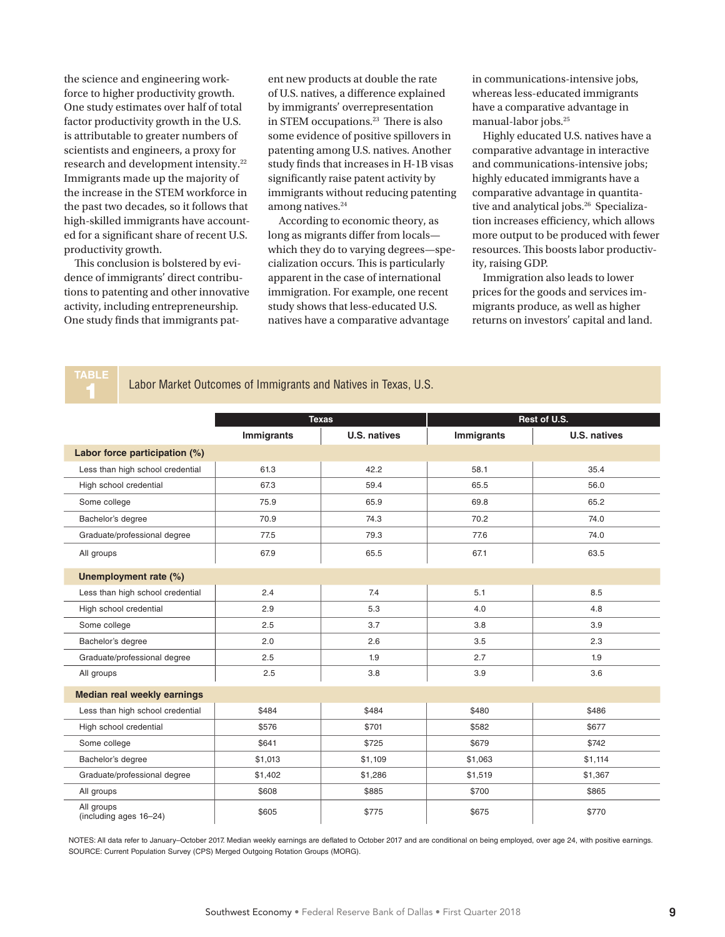the science and engineering workforce to higher productivity growth. One study estimates over half of total factor productivity growth in the U.S. is attributable to greater numbers of scientists and engineers, a proxy for research and development intensity.22 Immigrants made up the majority of the increase in the STEM workforce in the past two decades, so it follows that high-skilled immigrants have accounted for a significant share of recent U.S. productivity growth.

This conclusion is bolstered by evidence of immigrants' direct contributions to patenting and other innovative activity, including entrepreneurship. One study finds that immigrants patent new products at double the rate of U.S. natives, a difference explained by immigrants' overrepresentation in STEM occupations.23 There is also some evidence of positive spillovers in patenting among U.S. natives. Another study finds that increases in H-1B visas significantly raise patent activity by immigrants without reducing patenting among natives.<sup>24</sup>

According to economic theory, as long as migrants differ from locals which they do to varying degrees—specialization occurs. This is particularly apparent in the case of international immigration. For example, one recent study shows that less-educated U.S. natives have a comparative advantage

in communications-intensive jobs, whereas less-educated immigrants have a comparative advantage in manual-labor jobs.25

Highly educated U.S. natives have a comparative advantage in interactive and communications-intensive jobs; highly educated immigrants have a comparative advantage in quantitative and analytical jobs.<sup>26</sup> Specialization increases efficiency, which allows more output to be produced with fewer resources. This boosts labor productivity, raising GDP.

Immigration also leads to lower prices for the goods and services immigrants produce, as well as higher returns on investors' capital and land.

Labor Market Outcomes of Immigrants and Natives in Texas, U.S.

|                                      | <b>Texas</b> |                     | Rest of U.S.      |              |
|--------------------------------------|--------------|---------------------|-------------------|--------------|
|                                      | Immigrants   | <b>U.S. natives</b> | <b>Immigrants</b> | U.S. natives |
| Labor force participation (%)        |              |                     |                   |              |
| Less than high school credential     | 61.3         | 42.2                | 58.1              | 35.4         |
| High school credential               | 67.3         | 59.4                | 65.5              | 56.0         |
| Some college                         | 75.9         | 65.9                | 69.8              | 65.2         |
| Bachelor's degree                    | 70.9         | 74.3                | 70.2              | 74.0         |
| Graduate/professional degree         | 77.5         | 79.3                | 77.6              | 74.0         |
| All groups                           | 67.9         | 65.5                | 67.1              | 63.5         |
| Unemployment rate (%)                |              |                     |                   |              |
| Less than high school credential     | 2.4          | 7.4                 | 5.1               | 8.5          |
| High school credential               | 2.9          | 5.3                 | 4.0               | 4.8          |
| Some college                         | 2.5          | 3.7                 | 3.8               | 3.9          |
| Bachelor's degree                    | 2.0          | 2.6                 | 3.5               | 2.3          |
| Graduate/professional degree         | 2.5          | 1.9                 | 2.7               | 1.9          |
| All groups                           | 2.5          | 3.8                 | 3.9               | 3.6          |
| <b>Median real weekly earnings</b>   |              |                     |                   |              |
| Less than high school credential     | \$484        | \$484               | \$480             | \$486        |
| High school credential               | \$576        | \$701               | \$582             | \$677        |
| Some college                         | \$641        | \$725               | \$679             | \$742        |
| Bachelor's degree                    | \$1,013      | \$1,109             | \$1,063           | \$1,114      |
| Graduate/professional degree         | \$1,402      | \$1,286             | \$1,519           | \$1,367      |
| All groups                           | \$608        | \$885               | \$700             | \$865        |
| All groups<br>(including ages 16-24) | \$605        | \$775               | \$675             | \$770        |

NOTES: All data refer to January–October 2017. Median weekly earnings are deflated to October 2017 and are conditional on being employed, over age 24, with positive earnings. SOURCE: Current Population Survey (CPS) Merged Outgoing Rotation Groups (MORG).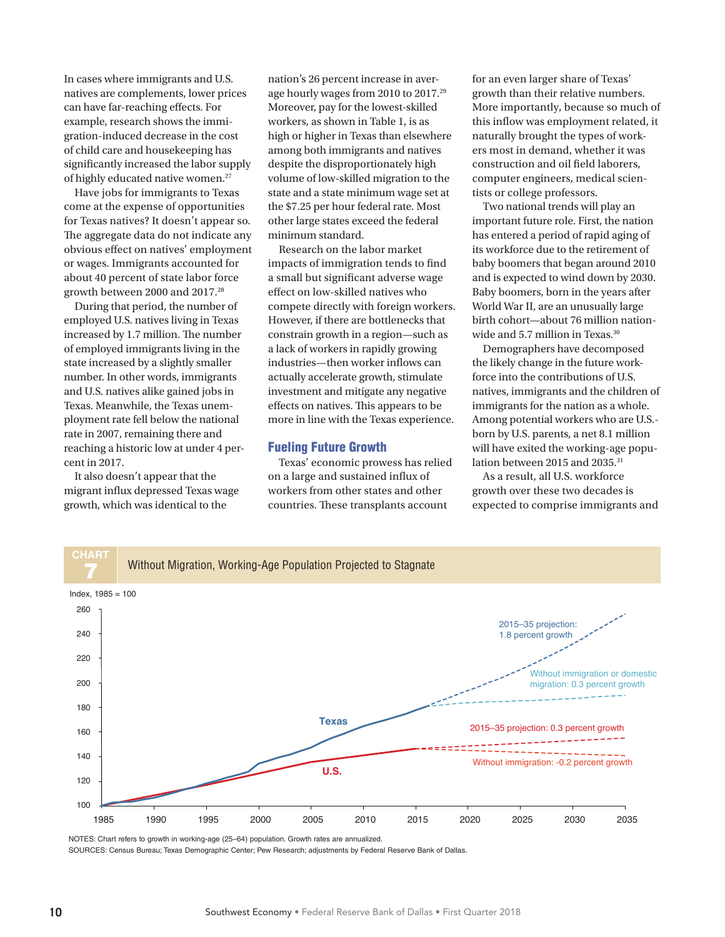In cases where immigrants and U.S. natives are complements, lower prices can have far-reaching effects. For example, research shows the immigration-induced decrease in the cost of child care and housekeeping has significantly increased the labor supply of highly educated native women.27

Have jobs for immigrants to Texas come at the expense of opportunities for Texas natives? It doesn't appear so. The aggregate data do not indicate any obvious effect on natives' employment or wages. Immigrants accounted for about 40 percent of state labor force growth between 2000 and 2017.28

During that period, the number of employed U.S. natives living in Texas increased by 1.7 million. The number of employed immigrants living in the state increased by a slightly smaller number. In other words, immigrants and U.S. natives alike gained jobs in Texas. Meanwhile, the Texas unemployment rate fell below the national rate in 2007, remaining there and reaching a historic low at under 4 percent in 2017.

It also doesn't appear that the migrant influx depressed Texas wage growth, which was identical to the

nation's 26 percent increase in average hourly wages from 2010 to 2017.29 Moreover, pay for the lowest-skilled workers, as shown in Table 1, is as high or higher in Texas than elsewhere among both immigrants and natives despite the disproportionately high volume of low-skilled migration to the state and a state minimum wage set at the \$7.25 per hour federal rate. Most other large states exceed the federal minimum standard.

Research on the labor market impacts of immigration tends to find a small but significant adverse wage effect on low-skilled natives who compete directly with foreign workers. However, if there are bottlenecks that constrain growth in a region—such as a lack of workers in rapidly growing industries—then worker inflows can actually accelerate growth, stimulate investment and mitigate any negative effects on natives. This appears to be more in line with the Texas experience.

#### Fueling Future Growth

Texas' economic prowess has relied on a large and sustained influx of workers from other states and other countries. These transplants account

for an even larger share of Texas' growth than their relative numbers. More importantly, because so much of this inflow was employment related, it naturally brought the types of workers most in demand, whether it was construction and oil field laborers, computer engineers, medical scientists or college professors.

Two national trends will play an important future role. First, the nation has entered a period of rapid aging of its workforce due to the retirement of baby boomers that began around 2010 and is expected to wind down by 2030. Baby boomers, born in the years after World War II, are an unusually large birth cohort—about 76 million nationwide and 5.7 million in Texas.<sup>30</sup>

Demographers have decomposed the likely change in the future workforce into the contributions of U.S. natives, immigrants and the children of immigrants for the nation as a whole. Among potential workers who are U.S. born by U.S. parents, a net 8.1 million will have exited the working-age population between 2015 and 2035.<sup>31</sup>

As a result, all U.S. workforce growth over these two decades is expected to comprise immigrants and



NOTES: Chart refers to growth in working-age (25–64) population. Growth rates are annualized.

SOURCES: Census Bureau; Texas Demographic Center; Pew Research; adjustments by Federal Reserve Bank of Dallas.